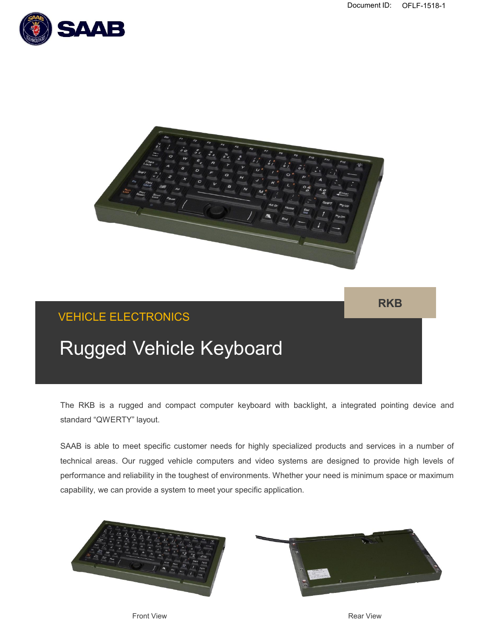



**RKB**

# VEHICLE ELECTRONICS

# Rugged Vehicle Keyboard

The RKB is a rugged and compact computer keyboard with backlight, a integrated pointing device and standard "QWERTY" layout.

SAAB is able to meet specific customer needs for highly specialized products and services in a number of technical areas. Our rugged vehicle computers and video systems are designed to provide high levels of performance and reliability in the toughest of environments. Whether your need is minimum space or maximum capability, we can provide a system to meet your specific application.